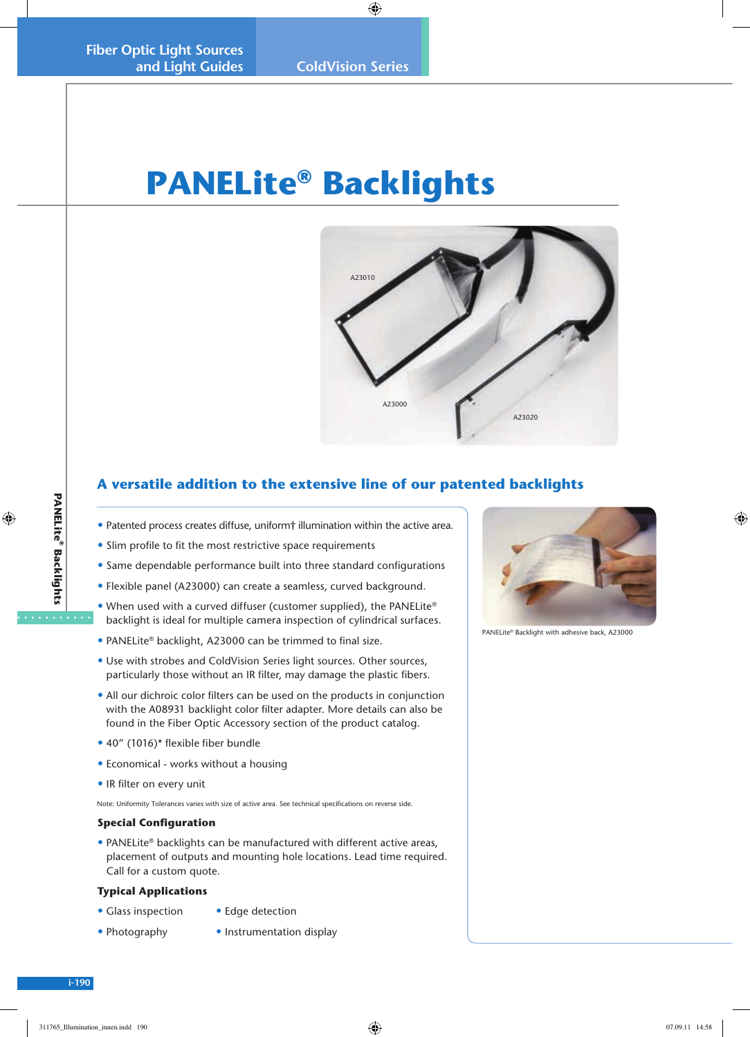# **PANELite® Backlights**



## **A versatile addition to the extensive line of our patented backlights**

- Patented process creates diffuse, uniform† illumination within the active area.
- Slim profile to fit the most restrictive space requirements
- Same dependable performance built into three standard configurations
- Flexible panel (A23000) can create a seamless, curved background.
- When used with a curved diffuser (customer supplied), the PANELite® backlight is ideal for multiple camera inspection of cylindrical surfaces.
- PANELite® backlight, A23000 can be trimmed to final size.
- Use with strobes and ColdVision Series light sources. Other sources, particularly those without an IR filter, may damage the plastic fibers.
- All our dichroic color filters can be used on the products in conjunction with the A08931 backlight color filter adapter. More details can also be found in the Fiber Optic Accessory section of the product catalog.
- 40" (1016)\* flexible fiber bundle
- Economical works without a housing
- IR filter on every unit

Note: Uniformity Tolerances varies with size of active area. See technical specifications on reverse side.

#### **Special Configuration**

• PANELite® backlights can be manufactured with different active areas, placement of outputs and mounting hole locations. Lead time required. Call for a custom quote.

#### **Typical Applications**

- Glass inspection Edge detection
- Photography Instrumentation display



PANELite® Backlight with adhesive back, A23000